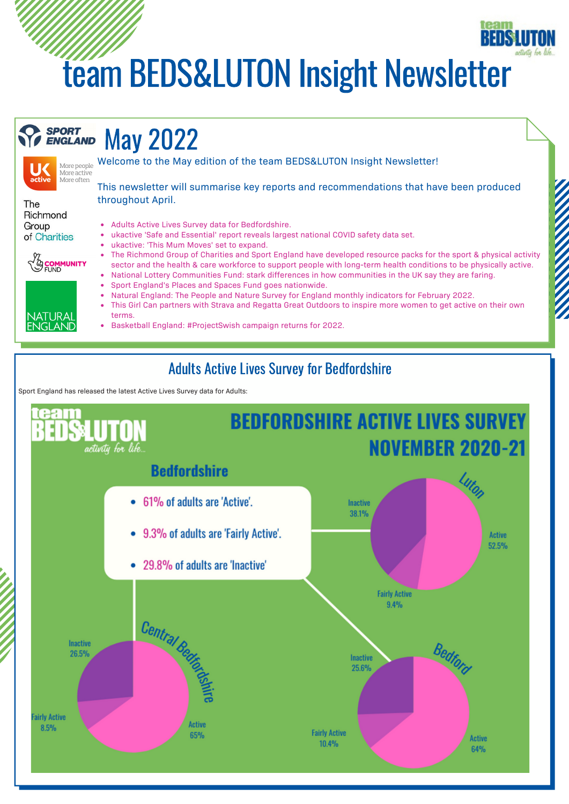# team BEDS&LUTON Insight Newsletter

#### **SPORT** May 2022 **ENGLAND**



The Richmond Group of Charities



JATURA ELAND



throughout April.

ukactive 'Safe and Essential' report reveals largest national COVID safety data set.

Welcome to the May edition of the team BEDS&LUTON Insight Newsletter!

- ukactive: 'This Mum Moves' set to expand.
- The Richmond Group of Charities and Sport England have developed resource packs for the sport & physical activity sector and the health & care workforce to support people with long-term health conditions to be physically active.

This newsletter will summarise key reports and recommendations that have been produced

- National Lottery Communities Fund: stark differences in how communities in the UK say they are faring. Sport England's Places and Spaces Fund goes nationwide.
- Natural England: The People and Nature Survey for England monthly indicators for February 2022.
- This Girl Can partners with Strava and Regatta Great Outdoors to inspire more women to get active on their own terms.
- Basketball England: #ProjectSwish campaign returns for 2022.

### Adults Active Lives Survey for Bedfordshire

Sport England has released the latest Active Lives Survey data for Adults:

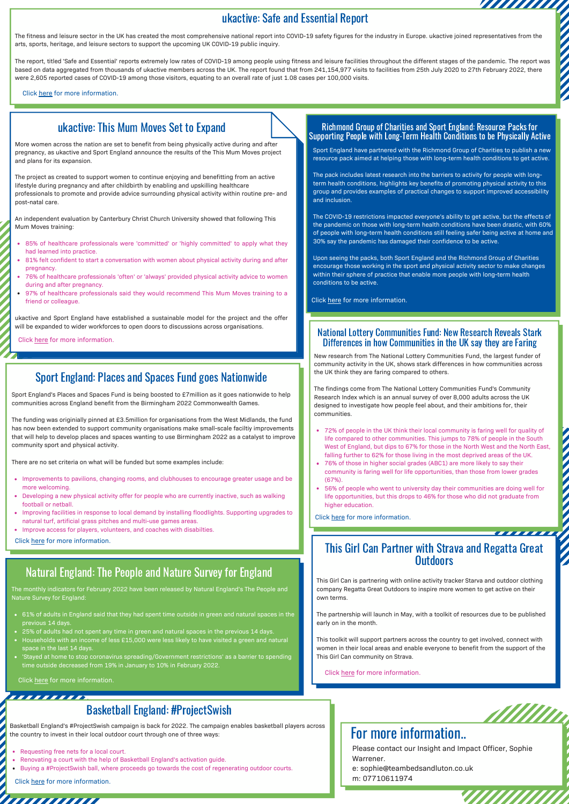#### ukactive: Safe and Essential Report

arts, sports, heritage, and leisure sectors to support the upcoming UK COVID-19 public inquiry.

Ukactive: Safe and Essential Report<br>arts, sports, heritage, and leisure sectors to support the upcoming UK COVID-19 among report into COVID-19 safety figures for the industry in Europe. ukactive joined representatives from The report, titled 'Safe and Essential' reports extremely low rates of COVID-19 among people using fitness and leisure facilities throughout the different stages of the pandemic. The report was based on data aggregated from thousands of ukactive members across the UK. The report found that from 241,154,977 visits to facilities from 25th July 2020 to 27th February 2022, there were 2,605 reported cases of COVID-19 among those visitors, equating to an overall rate of just 1.08 cases per 100,000 visits.

Click [here](https://www.teambedsandluton.co.uk/news/2022/04/ukactivesafeandessentialreport) for more information.

#### ukactive: This Mum Moves Set to Expand

More women across the nation are set to benefit from being physically active during and after pregnancy, as ukactive and Sport England announce the results of the This Mum Moves project and plans for its expansion.

The project as created to support women to continue enjoying and benefitting from an active lifestyle during pregnancy and after childbirth by enabling and upskilling healthcare professionals to promote and provide advice surrounding physical activity within routine pre- and post-natal care.

An independent evaluation by Canterbury Christ Church University showed that following This Mum Moves training:

- 85% of healthcare professionals were 'committed' or 'highly committed' to apply what they had learned into practice.
- 81% felt confident to start a conversation with women about physical activity during and after pregnancy.
- 76% of healthcare professionals 'often' or 'always' provided physical activity advice to women during and after pregnancy.
- 97% of healthcare professionals said they would recommend This Mum Moves training to a friend or colleague.

ukactive and Sport England have established a sustainable model for the project and the offer will be expanded to wider workforces to open doors to discussions across organisations.

Click [here](https://www.teambedsandluton.co.uk/news/2022/04/ukactivethismummoves) for more information.

#### Sport England: Places and Spaces Fund goes Nationwide

Sport England's Places and Spaces Fund is being boosted to £7million as it goes nationwide to help communities across England benefit from the Birmingham 2022 Commonwealth Games.

The funding was originially pinned at £3.5million for organisations from the West Midlands, the fund has now been extended to support community organisations make small-scale faciltiy improvements that will help to develop places and spaces wanting to use Birmingham 2022 as a catalyst to improve community sport and physical activity.

There are no set criteria on what will be funded but some examples include:

- Improvements to pavilions, changing rooms, and clubhouses to encourage greater usage and be more welcoming.
- Developing a new physical activity offer for people who are currently inactive, such as walking football or netball.
- Improving facilities in response to local demand by installing floodlights. Supporting upgrades to natural turf, artificial grass pitches and multi-use games areas.
- Improve access for players, volunteers, and coaches with disabilties.

Click [here](https://www.teambedsandluton.co.uk/news/2022/04/sportenglandplacesandspacesfund) for more information.

### Natural England: The People and Nature Survey for England

The monthly indicators for February 2022 have been released by Natural England's The People and Nature Survey for England:

- 61% of adults in England said that they had spent time outside in green and natural spaces in the previous 14 days.
- 25% of adults had not spent any time in green and natural spaces in the previous 14 days.
- Households with an income of less £15,000 were less likely to have visited a green and natural space in the last 14 days.
- 'Stayed at home to stop coronavirus spreading/Government restrictions' as a barrier to spending time outside decreased from 19% in January to 10% in February 2022.

Click [here](https://www.teambedsandluton.co.uk/news/2022/04/naturalenglandthepeopleandnaturesurveyforengland) for more information.

### Basketball England: #ProjectSwish

Basketball England's #ProjectSwish campaign is back for 2022. The campaign enables basketball players across the country to invest in their local outdoor court through one of three ways:

- Requesting free nets for a local court.
- Renovating a court with the help of Basketball England's activation guide.
- Buying a #ProjectSwish ball, where proceeds go towards the cost of regenerating outdoor courts.

Click [here](https://www.teambedsandluton.co.uk/news/2022/04/basketballenglandprojectswish) for more information.

,,,,,,,,,,,,,

#### Richmond Group of Charities and Sport England: Resource Packs for Supporting People with Long-Term Health Conditions to be Physically Active

Sport England have partnered with the Richmond Group of Charities to publish a new resource pack aimed at helping those with long-term health conditions to get active.

The pack includes latest research into the barriers to activity for people with longterm health conditions, highlights key benefits of promoting physical activity to this group and provides examples of practical changes to support improved accessibility and inclusion.

The COVID-19 restrictions impacted everyone's ability to get active, but the effects of the pandemic on those with long-term health conditions have been drastic, with 60% of people with long-term health conditions still feeling safer being active at home and 30% say the pandemic has damaged their confidence to be active.

Upon seeing the packs, both Sport England and the Richmond Group of Charities encourage those working in the sport and physical activity sector to make changes within their sphere of practice that enable more people with long-term health conditions to be active.

Click [here](https://www.teambedsandluton.co.uk/news/2022/04/richmondgroupofcharitieslthcresourcepacks) for more information.

#### National Lottery Communities Fund: New Research Reveals Stark Differences in how Communities in the UK say they are Faring

New research from The National Lottery Communities Fund, the largest funder of community activity in the UK, shows stark differences in how communities across the UK think they are faring compared to others.

The findings come from The National Lottery Communities Fund's Community Research Index which is an annual survey of over 8,000 adults across the UK designed to investigate how people feel about, and their ambitions for, their communities.

- 72% of people in the UK think their local community is faring well for quality of life compared to other communities. This jumps to 78% of people in the South West of England, but dips to 67% for those in the North West and the North East, falling further to 62% for those living in the most deprived areas of the UK.
- 76% of those in higher social grades (ABC1) are more likely to say their community is faring well for life opportunities, than those from lower grades  $(67%)$
- 56% of people who went to university day their communities are doing well for life opportunities, but this drops to 46% for those who did not graduate from higher education.

Click [here](https://www.teambedsandluton.co.uk/news/2022/04/nationallotterycommunitiesfundresearchindex) for more information.

# This Girl Can Partner with Strava and Regatta Great **Outdoors**

This Girl Can is partnering with online activity tracker Starva and outdoor clothing company Regatta Great Outdoors to inspire more women to get active on their own terms.

The partnership will launch in May, with a toolkit of resources due to be published early on in the month.

This toolkit will support partners across the country to get involved, connect with women in their local areas and enable everyone to benefit from the support of the This Girl Can community on Strava.

Click [here](https://www.teambedsandluton.co.uk/news/2022/04/sportenglandthisgirlcanstravaregattagreatoutdoors) for more information.



Please contact our Insight and Impact Officer, Sophie Warrener.

e: sophie@teambedsandluton.co.uk

m: 07710611974